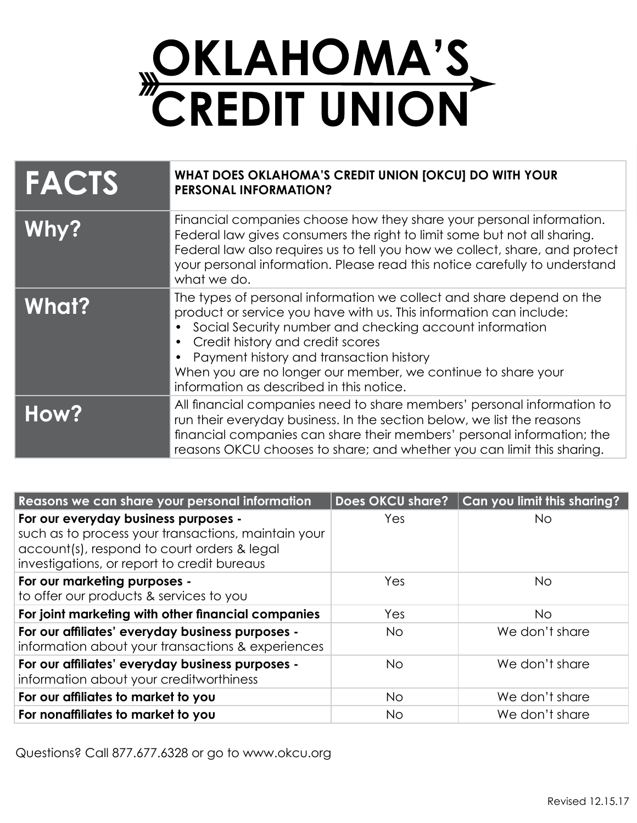

| <b>FACTS</b> | WHAT DOES OKLAHOMA'S CREDIT UNION [OKCU] DO WITH YOUR<br><b>PERSONAL INFORMATION?</b>                                                                                                                                                                                                                                                                                                            |
|--------------|--------------------------------------------------------------------------------------------------------------------------------------------------------------------------------------------------------------------------------------------------------------------------------------------------------------------------------------------------------------------------------------------------|
| Why?         | Financial companies choose how they share your personal information.<br>Federal law gives consumers the right to limit some but not all sharing.<br>Federal law also requires us to tell you how we collect, share, and protect<br>your personal information. Please read this notice carefully to understand<br>what we do.                                                                     |
| <b>What?</b> | The types of personal information we collect and share depend on the<br>product or service you have with us. This information can include:<br>Social Security number and checking account information<br>Credit history and credit scores<br>Payment history and transaction history<br>When you are no longer our member, we continue to share your<br>information as described in this notice. |
| How?         | All financial companies need to share members' personal information to<br>run their everyday business. In the section below, we list the reasons<br>financial companies can share their members' personal information; the<br>reasons OKCU chooses to share; and whether you can limit this sharing.                                                                                             |

| Reasons we can share your personal information                                                                                                                                            | Does OKCU share? | Can you limit this sharing? |
|-------------------------------------------------------------------------------------------------------------------------------------------------------------------------------------------|------------------|-----------------------------|
| For our everyday business purposes -<br>such as to process your transactions, maintain your<br>account(s), respond to court orders & legal<br>investigations, or report to credit bureaus | Yes              | No.                         |
| For our marketing purposes -<br>to offer our products & services to you                                                                                                                   | Yes              | <b>No</b>                   |
| For joint marketing with other financial companies                                                                                                                                        | Yes              | No.                         |
| For our affiliates' everyday business purposes -<br>information about your transactions & experiences                                                                                     | No.              | We don't share              |
| For our affiliates' everyday business purposes -<br>information about your creditworthiness                                                                                               | <b>No</b>        | We don't share              |
| For our affiliates to market to you                                                                                                                                                       | <b>No</b>        | We don't share              |
| For nonaffiliates to market to you                                                                                                                                                        | No.              | We don't share              |

Questions? Call 877.677.6328 or go to www.okcu.org